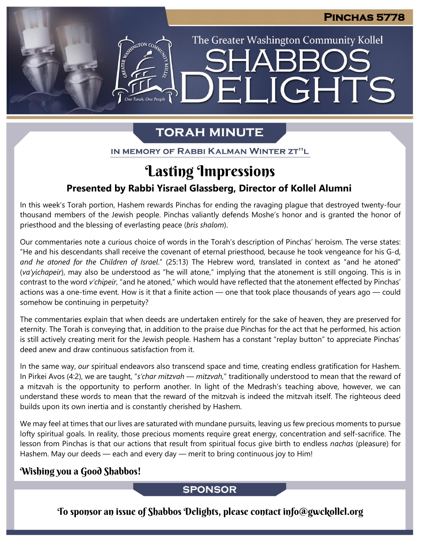The Greater Washington Community Kollel

ELIGHTS

# **TORAH MINUTE**

IN MEMORY OF RABBI KALMAN WINTER ZT"L

# Lasting Impressions **Presented by Rabbi Yisrael Glassberg, Director of Kollel Alumni**

In this week's Torah portion, Hashem rewards Pinchas for ending the ravaging plague that destroyed twenty-four thousand members of the Jewish people. Pinchas valiantly defends Moshe's honor and is granted the honor of priesthood and the blessing of everlasting peace (*bris shalom*).

Our commentaries note a curious choice of words in the Torah's description of Pinchas' heroism. The verse states: "He and his descendants shall receive the covenant of eternal priesthood, because he took vengeance for his G-d, *and he atoned for the Children of Israel*." (25:13) The Hebrew word, translated in context as "and he atoned" (*va'yichapeir*), may also be understood as "he will atone," implying that the atonement is still ongoing. This is in contrast to the word *v'chipeir*, "and he atoned," which would have reflected that the atonement effected by Pinchas' actions was a one-time event. How is it that a finite action — one that took place thousands of years ago — could somehow be continuing in perpetuity?

The commentaries explain that when deeds are undertaken entirely for the sake of heaven, they are preserved for eternity. The Torah is conveying that, in addition to the praise due Pinchas for the act that he performed, his action is still actively creating merit for the Jewish people. Hashem has a constant "replay button" to appreciate Pinchas' deed anew and draw continuous satisfaction from it.

In the same way, *our* spiritual endeavors also transcend space and time, creating endless gratification for Hashem. In Pirkei Avos (4:2), we are taught, "*s'char mitzvah — mitzvah,*" traditionally understood to mean that the reward of a mitzvah is the opportunity to perform another. In light of the Medrash's teaching above, however, we can understand these words to mean that the reward of the mitzvah is indeed the mitzvah itself. The righteous deed builds upon its own inertia and is constantly cherished by Hashem.

We may feel at times that our lives are saturated with mundane pursuits, leaving us few precious moments to pursue lofty spiritual goals. In reality, those precious moments require great energy, concentration and self-sacrifice. The lesson from Pinchas is that our actions that result from spiritual focus give birth to endless *nachas* (pleasure) for Hashem. May our deeds — each and every day — merit to bring continuous joy to Him!

## Wishing you a Good Shabbos!

## **SPONSOR**

To sponsor an issue of Shabbos Delights, please contact info@gwckollel.org